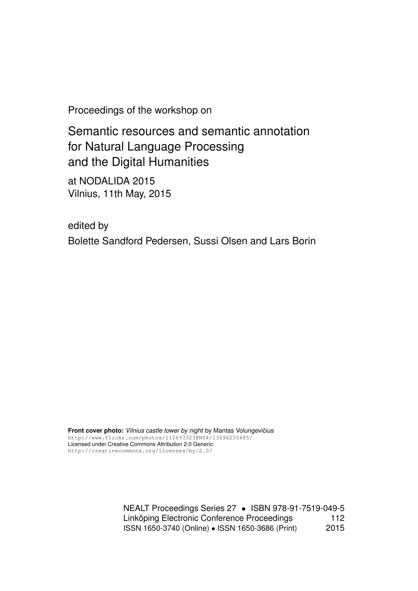Proceedings of the workshop on

Semantic resources and semantic annotation for Natural Language Processing and the Digital Humanities

at NODALIDA 2015 Vilnius, 11th May, 2015

edited by Bolette Sandford Pedersen, Sussi Olsen and Lars Borin

Front cover photo: Vilnius castle tower by night by Mantas Volungevičius http://www.flickr.com/photos/112693323@N04/13596235485/ Licensed under Creative Commons Attribution 2.0 Generic: http://creativecommons.org/licenses/by/2.0/

> NEALT Proceedings Series 27 • ISBN 978-91-7519-049-5 Linköping Electronic Conference Proceedings 112 ISSN 1650-3740 (Online) • ISSN 1650-3686 (Print) 2015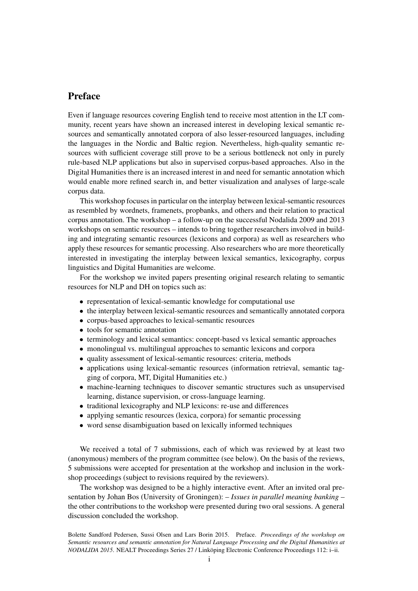## Preface

Even if language resources covering English tend to receive most attention in the LT community, recent years have shown an increased interest in developing lexical semantic resources and semantically annotated corpora of also lesser-resourced languages, including the languages in the Nordic and Baltic region. Nevertheless, high-quality semantic resources with sufficient coverage still prove to be a serious bottleneck not only in purely rule-based NLP applications but also in supervised corpus-based approaches. Also in the Digital Humanities there is an increased interest in and need for semantic annotation which would enable more refined search in, and better visualization and analyses of large-scale corpus data.

This workshop focuses in particular on the interplay between lexical-semantic resources as resembled by wordnets, framenets, propbanks, and others and their relation to practical corpus annotation. The workshop – a follow-up on the successful Nodalida 2009 and 2013 workshops on semantic resources – intends to bring together researchers involved in building and integrating semantic resources (lexicons and corpora) as well as researchers who apply these resources for semantic processing. Also researchers who are more theoretically interested in investigating the interplay between lexical semantics, lexicography, corpus linguistics and Digital Humanities are welcome.

For the workshop we invited papers presenting original research relating to semantic resources for NLP and DH on topics such as:

- representation of lexical-semantic knowledge for computational use
- the interplay between lexical-semantic resources and semantically annotated corpora
- corpus-based approaches to lexical-semantic resources
- tools for semantic annotation
- terminology and lexical semantics: concept-based vs lexical semantic approaches
- monolingual vs. multilingual approaches to semantic lexicons and corpora
- quality assessment of lexical-semantic resources: criteria, methods
- applications using lexical-semantic resources (information retrieval, semantic tagging of corpora, MT, Digital Humanities etc.)
- machine-learning techniques to discover semantic structures such as unsupervised learning, distance supervision, or cross-language learning.
- traditional lexicography and NLP lexicons: re-use and differences
- applying semantic resources (lexica, corpora) for semantic processing
- word sense disambiguation based on lexically informed techniques

We received a total of 7 submissions, each of which was reviewed by at least two (anonymous) members of the program committee (see below). On the basis of the reviews, 5 submissions were accepted for presentation at the workshop and inclusion in the workshop proceedings (subject to revisions required by the reviewers).

The workshop was designed to be a highly interactive event. After an invited oral presentation by Johan Bos (University of Groningen): – *Issues in parallel meaning banking* – the other contributions to the workshop were presented during two oral sessions. A general discussion concluded the workshop.

Bolette Sandford Pedersen, Sussi Olsen and Lars Borin 2015. Preface. *Proceedings of the workshop on Semantic resources and semantic annotation for Natural Language Processing and the Digital Humanities at NODALIDA 2015*. NEALT Proceedings Series 27 / Linköping Electronic Conference Proceedings 112: i–ii.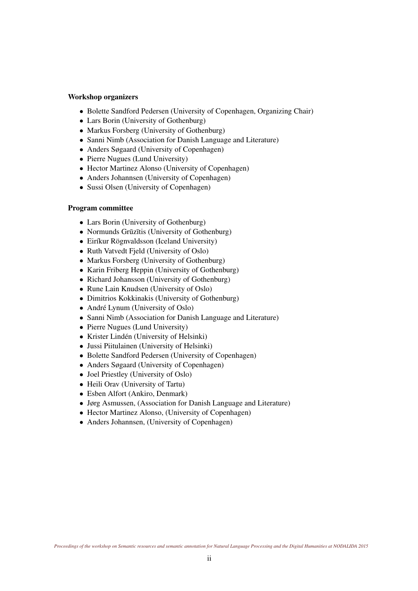## Workshop organizers

- Bolette Sandford Pedersen (University of Copenhagen, Organizing Chair)
- Lars Borin (University of Gothenburg)
- Markus Forsberg (University of Gothenburg)
- Sanni Nimb (Association for Danish Language and Literature)
- Anders Søgaard (University of Copenhagen)
- Pierre Nugues (Lund University)
- Hector Martinez Alonso (University of Copenhagen)
- Anders Johannsen (University of Copenhagen)
- Sussi Olsen (University of Copenhagen)

## Program committee

- Lars Borin (University of Gothenburg)
- Normunds Grūzītis (University of Gothenburg)
- Eiríkur Rögnvaldsson (Iceland University)
- Ruth Vatvedt Fjeld (University of Oslo)
- Markus Forsberg (University of Gothenburg)
- Karin Friberg Heppin (University of Gothenburg)
- Richard Johansson (University of Gothenburg)
- Rune Lain Knudsen (University of Oslo)
- Dimitrios Kokkinakis (University of Gothenburg)
- André Lynum (University of Oslo)
- Sanni Nimb (Association for Danish Language and Literature)
- Pierre Nugues (Lund University)
- Krister Lindén (University of Helsinki)
- Jussi Piitulainen (University of Helsinki)
- Bolette Sandford Pedersen (University of Copenhagen)
- Anders Søgaard (University of Copenhagen)
- Joel Priestley (University of Oslo)
- Heili Orav (University of Tartu)
- Esben Alfort (Ankiro, Denmark)
- Jørg Asmussen, (Association for Danish Language and Literature)
- Hector Martinez Alonso, (University of Copenhagen)
- Anders Johannsen, (University of Copenhagen)